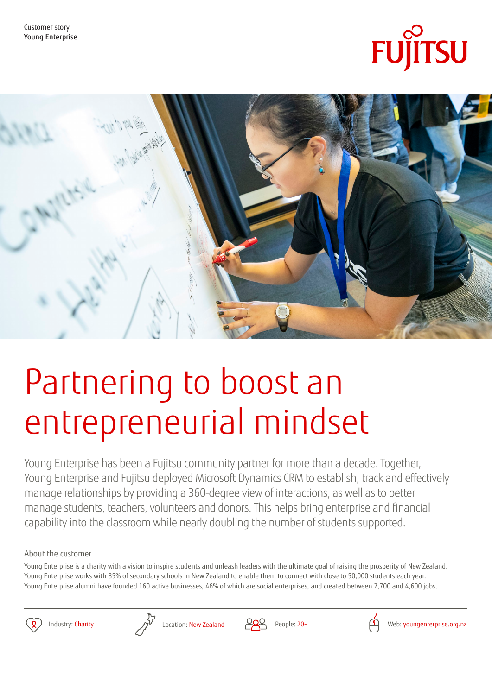



# Partnering to boost an entrepreneurial mindset

Young Enterprise has been a Fujitsu community partner for more than a decade. Together, Young Enterprise and Fujitsu deployed Microsoft Dynamics CRM to establish, track and effectively manage relationships by providing a 360-degree view of interactions, as well as to better manage students, teachers, volunteers and donors. This helps bring enterprise and financial capability into the classroom while nearly doubling the number of students supported.

# About the customer

Young Enterprise is a charity with a vision to inspire students and unleash leaders with the ultimate goal of raising the prosperity of New Zealand. Young Enterprise works with 85% of secondary schools in New Zealand to enable them to connect with close to 50,000 students each year. Young Enterprise alumni have founded 160 active businesses, 46% of which are social enterprises, and created between 2,700 and 4,600 jobs.





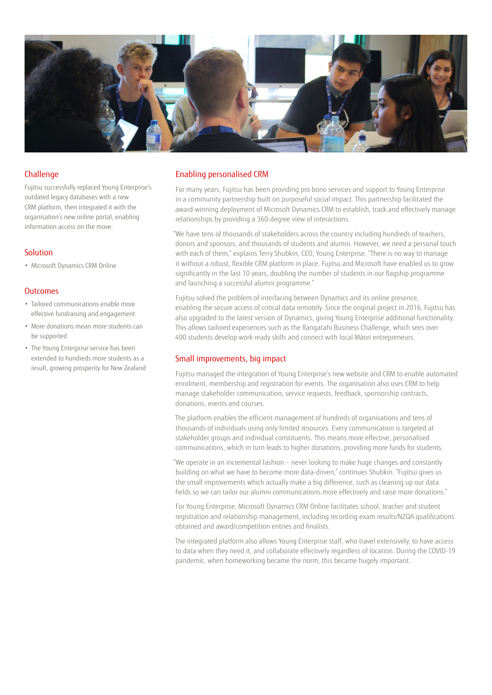

### Challenge

Fujitsu successfully replaced Young Enterprise's outdated legacy databases with a new CRM platform, then integrated it with the organisation's new online portal, enabling information access on the move.

## Solution

• Microsoft Dynamics CRM Online

#### **Outcomes**

- Tailored communications enable more effective fundraising and engagement
- More donations mean more students can be supported
- The Young Enterprise service has been extended to hundreds more students as a result, growing prosperity for New Zealand

#### Enabling personalised CRM

For many years, Fujitsu has been providing pro bono services and support to Young Enterprise in a community partnership built on purposeful social impact. This partnership facilitated the award-winning deployment of Microsoft Dynamics CRM to establish, track and effectively manage relationships by providing a 360-degree view of interactions.

"We have tens of thousands of stakeholders across the country including hundreds of teachers, donors and sponsors, and thousands of students and alumni. However, we need a personal touch with each of them," explains Terry Shubkin, CEO, Young Enterprise. "There is no way to manage it without a robust, flexible CRM platform in place. Fujitsu and Microsoft have enabled us to grow significantly in the last 10 years, doubling the number of students in our flagship programme and launching a successful alumni programme."

Fujitsu solved the problem of interfacing between Dynamics and its online presence, enabling the secure access of critical data remotely. Since the original project in 2016, Fujitsu has also upgraded to the latest version of Dynamics, giving Young Enterprise additional functionality. This allows tailored experiences such as the Rangatahi Business Challenge, which sees over 400 students develop work-ready skills and connect with local Māori entrepreneurs.

### Small improvements, big impact

Fujitsu managed the integration of Young Enterprise's new website and CRM to enable automated enrolment, membership and registration for events. The organisation also uses CRM to help manage stakeholder communication, service requests, feedback, sponsorship contracts, donations, events and courses.

The platform enables the efficient management of hundreds of organisations and tens of thousands of individuals using only limited resources. Every communication is targeted at stakeholder groups and individual constituents. This means more effective, personalised communications, which in turn leads to higher donations, providing more funds for students.

"We operate in an incremental fashion – never looking to make huge changes and constantly building on what we have to become more data-driven," continues Shubkin. "Fujitsu gives us the small improvements which actually make a big difference, such as cleaning up our data fields so we can tailor our alumni communications more effectively and raise more donations."

For Young Enterprise, Microsoft Dynamics CRM Online facilitates school, teacher and student registration and relationship management, including recording exam results/NZQA qualifications obtained and award/competition entries and finalists.

The integrated platform also allows Young Enterprise staff, who travel extensively, to have access to data when they need it, and collaborate effectively regardless of location. During the COVID-19 pandemic, when homeworking became the norm, this became hugely important.